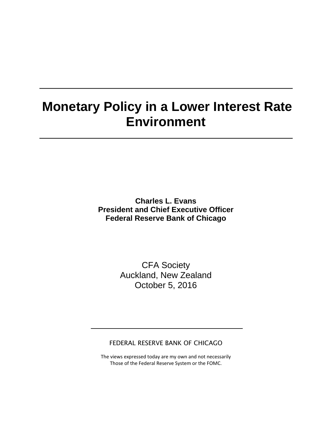# **Monetary Policy in a Lower Interest Rate Environment**

**Charles L. Evans President and Chief Executive Officer Federal Reserve Bank of Chicago**

> CFA Society Auckland, New Zealand October 5, 2016

FEDERAL RESERVE BANK OF CHICAGO

The views expressed today are my own and not necessarily Those of the Federal Reserve System or the FOMC.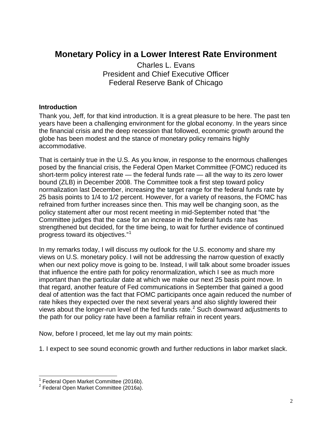## **Monetary Policy in a Lower Interest Rate Environment**

Charles L. Evans President and Chief Executive Officer Federal Reserve Bank of Chicago

#### **Introduction**

Thank you, Jeff, for that kind introduction. It is a great pleasure to be here. The past ten years have been a challenging environment for the global economy. In the years since the financial crisis and the deep recession that followed, economic growth around the globe has been modest and the stance of monetary policy remains highly accommodative.

That is certainly true in the U.S. As you know, in response to the enormous challenges posed by the financial crisis, the Federal Open Market Committee (FOMC) reduced its short-term policy interest rate — the federal funds rate — all the way to its zero lower bound (ZLB) in December 2008. The Committee took a first step toward policy normalization last December, increasing the target range for the federal funds rate by 25 basis points to 1/4 to 1/2 percent. However, for a variety of reasons, the FOMC has refrained from further increases since then. This may well be changing soon, as the policy statement after our most recent meeting in mid-September noted that "the Committee judges that the case for an increase in the federal funds rate has strengthened but decided, for the time being, to wait for further evidence of continued progress toward its objectives." [1](#page-1-0)

In my remarks today, I will discuss my outlook for the U.S. economy and share my views on U.S. monetary policy. I will not be addressing the narrow question of exactly when our next policy move is going to be. Instead, I will talk about some broader issues that influence the entire path for policy renormalization, which I see as much more important than the particular date at which we make our next 25 basis point move. In that regard, another feature of Fed communications in September that gained a good deal of attention was the fact that FOMC participants once again reduced the number of rate hikes they expected over the next several years and also slightly lowered their views about the longer-run level of the fed funds rate. $2$  Such downward adjustments to the path for our policy rate have been a familiar refrain in recent years.

Now, before I proceed, let me lay out my main points:

1. I expect to see sound economic growth and further reductions in labor market slack.

<span id="page-1-0"></span><sup>&</sup>lt;sup>1</sup> Federal Open Market Committee (2016b).

<span id="page-1-1"></span><sup>2</sup> Federal Open Market Committee (2016a).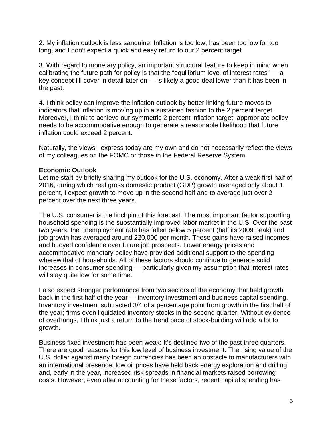2. My inflation outlook is less sanguine. Inflation is too low, has been too low for too long, and I don't expect a quick and easy return to our 2 percent target.

3. With regard to monetary policy, an important structural feature to keep in mind when calibrating the future path for policy is that the "equilibrium level of interest rates" — a key concept I'll cover in detail later on — is likely a good deal lower than it has been in the past.

4. I think policy can improve the inflation outlook by better linking future moves to indicators that inflation is moving up in a sustained fashion to the 2 percent target. Moreover, I think to achieve our symmetric 2 percent inflation target, appropriate policy needs to be accommodative enough to generate a reasonable likelihood that future inflation could exceed 2 percent.

Naturally, the views I express today are my own and do not necessarily reflect the views of my colleagues on the FOMC or those in the Federal Reserve System.

#### **Economic Outlook**

Let me start by briefly sharing my outlook for the U.S. economy. After a weak first half of 2016, during which real gross domestic product (GDP) growth averaged only about 1 percent, I expect growth to move up in the second half and to average just over 2 percent over the next three years.

The U.S. consumer is the linchpin of this forecast. The most important factor supporting household spending is the substantially improved labor market in the U.S. Over the past two years, the unemployment rate has fallen below 5 percent (half its 2009 peak) and job growth has averaged around 220,000 per month. These gains have raised incomes and buoyed confidence over future job prospects. Lower energy prices and accommodative monetary policy have provided additional support to the spending wherewithal of households. All of these factors should continue to generate solid increases in consumer spending — particularly given my assumption that interest rates will stay quite low for some time.

I also expect stronger performance from two sectors of the economy that held growth back in the first half of the year — inventory investment and business capital spending. Inventory investment subtracted 3/4 of a percentage point from growth in the first half of the year; firms even liquidated inventory stocks in the second quarter. Without evidence of overhangs, I think just a return to the trend pace of stock-building will add a lot to growth.

Business fixed investment has been weak: It's declined two of the past three quarters. There are good reasons for this low level of business investment: The rising value of the U.S. dollar against many foreign currencies has been an obstacle to manufacturers with an international presence; low oil prices have held back energy exploration and drilling; and, early in the year, increased risk spreads in financial markets raised borrowing costs. However, even after accounting for these factors, recent capital spending has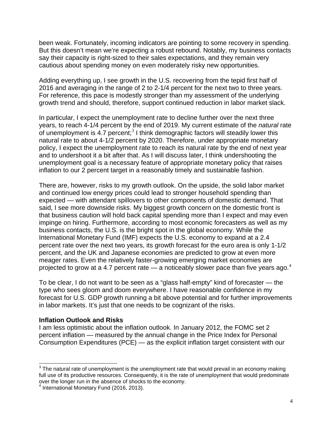been weak. Fortunately, incoming indicators are pointing to some recovery in spending. But this doesn't mean we're expecting a robust rebound. Notably, my business contacts say their capacity is right-sized to their sales expectations, and they remain very cautious about spending money on even moderately risky new opportunities.

Adding everything up, I see growth in the U.S. recovering from the tepid first half of 2016 and averaging in the range of 2 to 2-1/4 percent for the next two to three years. For reference, this pace is modestly stronger than my assessment of the underlying growth trend and should, therefore, support continued reduction in labor market slack.

In particular, I expect the unemployment rate to decline further over the next three years, to reach 4-1/4 percent by the end of 2019. My current estimate of the *natural* rate of unemployment is 4.7 percent;<sup>[3](#page-3-0)</sup> I think demographic factors will steadily lower this natural rate to about 4-1/2 percent by 2020. Therefore, under appropriate monetary policy, I expect the unemployment rate to reach its natural rate by the end of next year and to undershoot it a bit after that. As I will discuss later, I think undershooting the unemployment goal is a necessary feature of appropriate monetary policy that raises inflation to our 2 percent target in a reasonably timely and sustainable fashion.

There are, however, risks to my growth outlook. On the upside, the solid labor market and continued low energy prices could lead to stronger household spending than expected — with attendant spillovers to other components of domestic demand. That said, I see more downside risks. My biggest growth concern on the domestic front is that business caution will hold back capital spending more than I expect and may even impinge on hiring. Furthermore, according to most economic forecasters as well as my business contacts, the U.S. is the bright spot in the global economy. While the International Monetary Fund (IMF) expects the U.S. economy to expand at a 2.4 percent rate over the next two years, its growth forecast for the euro area is only 1-1/2 percent, and the UK and Japanese economies are predicted to grow at even more meager rates. Even the relatively faster-growing emerging market economies are projected to grow at a [4](#page-3-1).7 percent rate — a noticeably slower pace than five years ago.<sup>4</sup>

To be clear, I do not want to be seen as a "glass half-empty" kind of forecaster — the type who sees gloom and doom everywhere. I have reasonable confidence in my forecast for U.S. GDP growth running a bit above potential and for further improvements in labor markets. It's just that one needs to be cognizant of the risks.

#### **Inflation Outlook and Risks**

I am less optimistic about the inflation outlook. In January 2012, the FOMC set 2 percent inflation — measured by the annual change in the Price Index for Personal Consumption Expenditures (PCE) — as the explicit inflation target consistent with our

<span id="page-3-0"></span> $3$  The natural rate of unemployment is the unemployment rate that would prevail in an economy making full use of its productive resources. Consequently, it is the rate of unemployment that would predominate over the longer run in the absence of shocks to the economy.

<span id="page-3-1"></span><sup>&</sup>lt;sup>4</sup> International Monetary Fund (2016, 2013).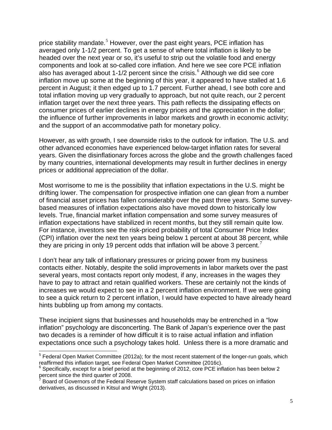price stability mandate.<sup>[5](#page-4-0)</sup> However, over the past eight years, PCE inflation has averaged only 1-1/2 percent. To get a sense of where total inflation is likely to be headed over the next year or so, it's useful to strip out the volatile food and energy components and look at so-called core inflation. And here we see core PCE inflation also has averaged about 1-1/2 percent since the crisis. $<sup>6</sup>$  $<sup>6</sup>$  $<sup>6</sup>$  Although we did see core</sup> inflation move up some at the beginning of this year, it appeared to have stalled at 1.6 percent in August; it then edged up to 1.7 percent. Further ahead, I see both core and total inflation moving up very gradually to approach, but not quite reach, our 2 percent inflation target over the next three years. This path reflects the dissipating effects on consumer prices of earlier declines in energy prices and the appreciation in the dollar; the influence of further improvements in labor markets and growth in economic activity; and the support of an accommodative path for monetary policy.

However, as with growth, I see downside risks to the outlook for inflation. The U.S. and other advanced economies have experienced below-target inflation rates for several years. Given the disinflationary forces across the globe and the growth challenges faced by many countries, international developments may result in further declines in energy prices or additional appreciation of the dollar.

Most worrisome to me is the possibility that inflation expectations in the U.S. might be drifting lower. The compensation for prospective inflation one can glean from a number of financial asset prices has fallen considerably over the past three years. Some surveybased measures of inflation expectations also have moved down to historically low levels. True, financial market inflation compensation and some survey measures of inflation expectations have stabilized in recent months, but they still remain quite low. For instance, investors see the risk-priced probability of total Consumer Price Index (CPI) inflation over the next ten years being below 1 percent at about 38 percent, while they are pricing in only 19 percent odds that inflation will be above 3 percent.<sup>[7](#page-4-2)</sup>

I don't hear any talk of inflationary pressures or pricing power from my business contacts either. Notably, despite the solid improvements in labor markets over the past several years, most contacts report only modest, if any, increases in the wages they have to pay to attract and retain qualified workers. These are certainly not the kinds of increases we would expect to see in a 2 percent inflation environment. If we were going to see a quick return to 2 percent inflation, I would have expected to have already heard hints bubbling up from among my contacts.

These incipient signs that businesses and households may be entrenched in a "low inflation" psychology are disconcerting. The Bank of Japan's experience over the past two decades is a reminder of how difficult it is to raise actual inflation and inflation expectations once such a psychology takes hold. Unless there is a more dramatic and

<span id="page-4-0"></span> $<sup>5</sup>$  Federal Open Market Committee (2012a); for the most recent statement of the longer-run goals, which</sup>

<span id="page-4-1"></span>reaffirmed this inflation target, see Federal Open Market Committee (2016c).<br><sup>6</sup> Specifically, except for a brief period at the beginning of 2012, core PCE inflation has been below 2 percent since the third quarter of 2008.

<span id="page-4-2"></span><sup>7</sup> Board of Governors of the Federal Reserve System staff calculations based on prices on inflation derivatives, as discussed in Kitsul and Wright (2013).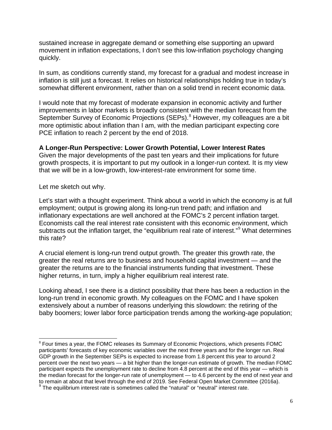sustained increase in aggregate demand or something else supporting an upward movement in inflation expectations, I don't see this low-inflation psychology changing quickly.

In sum, as conditions currently stand, my forecast for a gradual and modest increase in inflation is still just a forecast. It relies on historical relationships holding true in today's somewhat different environment, rather than on a solid trend in recent economic data.

I would note that my forecast of moderate expansion in economic activity and further improvements in labor markets is broadly consistent with the median forecast from the September Survey of Economic Projections (SEPs).<sup>[8](#page-5-0)</sup> However, my colleagues are a bit more optimistic about inflation than I am, with the median participant expecting core PCE inflation to reach 2 percent by the end of 2018.

#### **A Longer-Run Perspective: Lower Growth Potential, Lower Interest Rates**

Given the major developments of the past ten years and their implications for future growth prospects, it is important to put my outlook in a longer-run context. It is my view that we will be in a low-growth, low-interest-rate environment for some time.

Let me sketch out why.

Let's start with a thought experiment. Think about a world in which the economy is at full employment; output is growing along its long-run trend path; and inflation and inflationary expectations are well anchored at the FOMC's 2 percent inflation target. Economists call the real interest rate consistent with this economic environment, which subtracts out the inflation target, the "equilibrium real rate of interest."<sup>[9](#page-5-1)</sup> What determines this rate?

A crucial element is long-run trend output growth. The greater this growth rate, the greater the real returns are to business and household capital investment — and the greater the returns are to the financial instruments funding that investment. These higher returns, in turn, imply a higher equilibrium real interest rate.

Looking ahead, I see there is a distinct possibility that there has been a reduction in the long-run trend in economic growth. My colleagues on the FOMC and I have spoken extensively about a number of reasons underlying this slowdown: the retiring of the baby boomers; lower labor force participation trends among the working-age population;

<span id="page-5-1"></span><span id="page-5-0"></span> $8$  Four times a year, the FOMC releases its Summary of Economic Projections, which presents FOMC participants' forecasts of key economic variables over the next three years and for the longer run. Real GDP growth in the September SEPs is expected to increase from 1.8 percent this year to around 2 percent over the next two years — a bit higher than the longer-run estimate of growth. The median FOMC participant expects the unemployment rate to decline from 4.8 percent at the end of this year — which is the median forecast for the longer-run rate of unemployment — to 4.6 percent by the end of next year and to remain at about that level through the end of 2019. See Federal Open Market Committee (2016a).<br><sup>9</sup> The equilibrium interest rate is sometimes called the "natural" or "neutral" interest rate.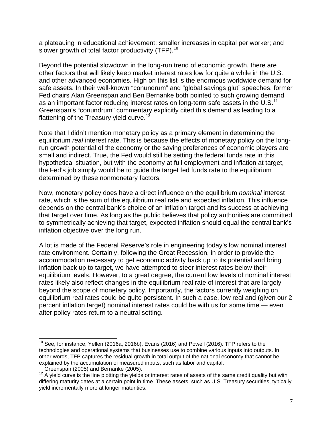a plateauing in educational achievement; smaller increases in capital per worker; and slower growth of total factor productivity (TFP). $^{10}$  $^{10}$  $^{10}$ 

Beyond the potential slowdown in the long-run trend of economic growth, there are other factors that will likely keep market interest rates low for quite a while in the U.S. and other advanced economies. High on this list is the enormous worldwide demand for safe assets. In their well-known "conundrum" and "global savings glut" speeches, former Fed chairs Alan Greenspan and Ben Bernanke both pointed to such growing demand as an important factor reducing interest rates on long-term safe assets in the U.S. $<sup>11</sup>$  $<sup>11</sup>$  $<sup>11</sup>$ </sup> Greenspan's "conundrum" commentary explicitly cited this demand as leading to a flattening of the Treasury yield curve.<sup>[12](#page-6-2)</sup>

Note that I didn't mention monetary policy as a primary element in determining the equilibrium *real* interest rate. This is because the effects of monetary policy on the longrun growth potential of the economy or the saving preferences of economic players are small and indirect. True, the Fed would still be setting the federal funds rate in this hypothetical situation, but with the economy at full employment and inflation at target, the Fed's job simply would be to guide the target fed funds rate to the equilibrium determined by these nonmonetary factors.

Now, monetary policy does have a direct influence on the equilibrium *nominal* interest rate, which is the sum of the equilibrium real rate and expected inflation. This influence depends on the central bank's choice of an inflation target and its success at achieving that target over time. As long as the public believes that policy authorities are committed to symmetrically achieving that target, expected inflation should equal the central bank's inflation objective over the long run.

A lot is made of the Federal Reserve's role in engineering today's low nominal interest rate environment. Certainly, following the Great Recession, in order to provide the accommodation necessary to get economic activity back up to its potential and bring inflation back up to target, we have attempted to steer interest rates below their equilibrium levels. However, to a great degree, the current low levels of nominal interest rates likely also reflect changes in the equilibrium real rate of interest that are largely beyond the scope of monetary policy. Importantly, the factors currently weighing on equilibrium real rates could be quite persistent. In such a case, low real and (given our 2 percent inflation target) nominal interest rates could be with us for some time — even after policy rates return to a neutral setting.

<span id="page-6-0"></span> $10$  See, for instance, Yellen (2016a, 2016b), Evans (2016) and Powell (2016). TFP refers to the technologies and operational systems that businesses use to combine various inputs into outputs. In other words, TFP captures the residual growth in total output of the national economy that cannot be

<span id="page-6-2"></span><span id="page-6-1"></span><sup>&</sup>lt;sup>11</sup> Greenspan (2005) and Bernanke (2005).<br><sup>12</sup> A yield curve is the line plotting the yields or interest rates of assets of the same credit quality but with differing maturity dates at a certain point in time. These assets, such as U.S. Treasury securities, typically yield incrementally more at longer maturities.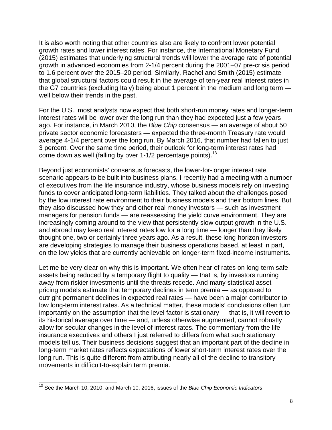It is also worth noting that other countries also are likely to confront lower potential growth rates and lower interest rates. For instance, the International Monetary Fund (2015) estimates that underlying structural trends will lower the average rate of potential growth in advanced economies from 2-1/4 percent during the 2001–07 pre-crisis period to 1.6 percent over the 2015–20 period. Similarly, Rachel and Smith (2015) estimate that global structural factors could result in the average of ten-year real interest rates in the G7 countries (excluding Italy) being about 1 percent in the medium and long term well below their trends in the past.

For the U.S., most analysts now expect that both short-run money rates and longer-term interest rates will be lower over the long run than they had expected just a few years ago. For instance, in March 2010, the *Blue Chip* consensus — an average of about 50 private sector economic forecasters — expected the three-month Treasury rate would average 4-1/4 percent over the long run. By March 2016, that number had fallen to just 3 percent. Over the same time period, their outlook for long-term interest rates had come down as well (falling by over  $1-1/2$  percentage points).<sup>[13](#page-7-0)</sup>

Beyond just economists' consensus forecasts, the lower-for-longer interest rate scenario appears to be built into business plans. I recently had a meeting with a number of executives from the life insurance industry, whose business models rely on investing funds to cover anticipated long-term liabilities. They talked about the challenges posed by the low interest rate environment to their business models and their bottom lines. But they also discussed how they and other real money investors — such as investment managers for pension funds — are reassessing the yield curve environment. They are increasingly coming around to the view that persistently slow output growth in the U.S. and abroad may keep real interest rates low for a long time — longer than they likely thought one, two or certainly three years ago. As a result, these long-horizon investors are developing strategies to manage their business operations based, at least in part, on the low yields that are currently achievable on longer-term fixed-income instruments.

Let me be very clear on why this is important. We often hear of rates on long-term safe assets being reduced by a temporary flight to quality — that is, by investors running away from riskier investments until the threats recede. And many statistical assetpricing models estimate that temporary declines in term premia — as opposed to outright permanent declines in expected real rates — have been a major contributor to low long-term interest rates. As a technical matter, these models' conclusions often turn importantly on the assumption that the level factor is stationary — that is, it will revert to its historical average over time — and, unless otherwise augmented, cannot robustly allow for secular changes in the level of interest rates. The commentary from the life insurance executives and others I just referred to differs from what such stationary models tell us. Their business decisions suggest that an important part of the decline in long-term market rates reflects expectations of lower short-term interest rates over the long run. This is quite different from attributing nearly all of the decline to transitory movements in difficult-to-explain term premia.

<span id="page-7-0"></span><sup>13</sup> See the March 10, 2010, and March 10, 2016, issues of the *Blue Chip Economic Indicators*.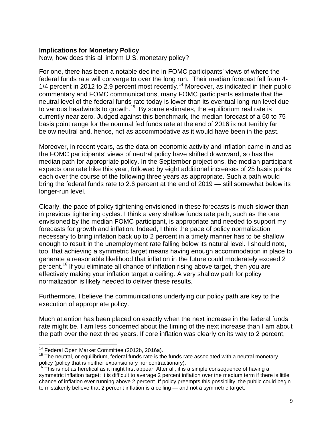#### **Implications for Monetary Policy**

Now, how does this all inform U.S. monetary policy?

For one, there has been a notable decline in FOMC participants' views of where the federal funds rate will converge to over the long run. Their median forecast fell from 4- 1/4 percent in 2012 to 2.9 percent most recently.<sup>[14](#page-8-0)</sup> Moreover, as indicated in their public commentary and FOMC communications, many FOMC participants estimate that the neutral level of the federal funds rate today is lower than its eventual long-run level due to various headwinds to growth.<sup>[15](#page-8-1)</sup> By some estimates, the equilibrium real rate is currently near zero. Judged against this benchmark, the median forecast of a 50 to 75 basis point range for the nominal fed funds rate at the end of 2016 is not terribly far below neutral and, hence, not as accommodative as it would have been in the past.

Moreover, in recent years, as the data on economic activity and inflation came in and as the FOMC participants' views of neutral policy have shifted downward, so has the median path for appropriate policy. In the September projections, the median participant expects one rate hike this year, followed by eight additional increases of 25 basis points each over the course of the following three years as appropriate. Such a path would bring the federal funds rate to 2.6 percent at the end of 2019 — still somewhat below its longer-run level.

Clearly, the pace of policy tightening envisioned in these forecasts is much slower than in previous tightening cycles. I think a very shallow funds rate path, such as the one envisioned by the median FOMC participant, is appropriate and needed to support my forecasts for growth and inflation. Indeed, I think the pace of policy normalization necessary to bring inflation back up to 2 percent in a timely manner has to be shallow enough to result in the unemployment rate falling below its natural level. I should note, too, that achieving a symmetric target means having enough accommodation in place to generate a reasonable likelihood that inflation in the future could moderately exceed 2  $\overline{p}$  percent.<sup>[16](#page-8-2)</sup> If you eliminate all chance of inflation rising above target, then you are effectively making your inflation target a ceiling. A very shallow path for policy normalization is likely needed to deliver these results.

Furthermore, I believe the communications underlying our policy path are key to the execution of appropriate policy.

Much attention has been placed on exactly when the next increase in the federal funds rate might be. I am less concerned about the timing of the next increase than I am about the path over the next three years. If core inflation was clearly on its way to 2 percent,

<span id="page-8-1"></span><span id="page-8-0"></span><sup>&</sup>lt;sup>14</sup> Federal Open Market Committee (2012b, 2016a).<br><sup>15</sup> The neutral, or equilibrium, federal funds rate is the funds rate associated with a neutral monetary policy (policy that is neither expansionary nor contractionary).

<span id="page-8-2"></span>This is not as heretical as it might first appear. After all, it is a simple consequence of having a symmetric inflation target: It is difficult to average 2 percent inflation over the medium term if there is little chance of inflation ever running above 2 percent. If policy preempts this possibility, the public could begin to mistakenly believe that 2 percent inflation is a ceiling — and not a symmetric target.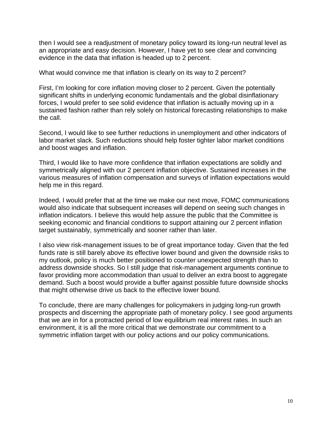then I would see a readjustment of monetary policy toward its long-run neutral level as an appropriate and easy decision. However, I have yet to see clear and convincing evidence in the data that inflation is headed up to 2 percent.

What would convince me that inflation is clearly on its way to 2 percent?

First, I'm looking for core inflation moving closer to 2 percent. Given the potentially significant shifts in underlying economic fundamentals and the global disinflationary forces, I would prefer to see solid evidence that inflation is actually moving up in a sustained fashion rather than rely solely on historical forecasting relationships to make the call.

Second, I would like to see further reductions in unemployment and other indicators of labor market slack. Such reductions should help foster tighter labor market conditions and boost wages and inflation.

Third, I would like to have more confidence that inflation expectations are solidly and symmetrically aligned with our 2 percent inflation objective. Sustained increases in the various measures of inflation compensation and surveys of inflation expectations would help me in this regard.

Indeed, I would prefer that at the time we make our next move, FOMC communications would also indicate that subsequent increases will depend on seeing such changes in inflation indicators. I believe this would help assure the public that the Committee is seeking economic and financial conditions to support attaining our 2 percent inflation target sustainably, symmetrically and sooner rather than later.

I also view risk-management issues to be of great importance today. Given that the fed funds rate is still barely above its effective lower bound and given the downside risks to my outlook, policy is much better positioned to counter unexpected strength than to address downside shocks. So I still judge that risk-management arguments continue to favor providing more accommodation than usual to deliver an extra boost to aggregate demand. Such a boost would provide a buffer against possible future downside shocks that might otherwise drive us back to the effective lower bound.

To conclude, there are many challenges for policymakers in judging long-run growth prospects and discerning the appropriate path of monetary policy. I see good arguments that we are in for a protracted period of low equilibrium real interest rates. In such an environment, it is all the more critical that we demonstrate our commitment to a symmetric inflation target with our policy actions and our policy communications.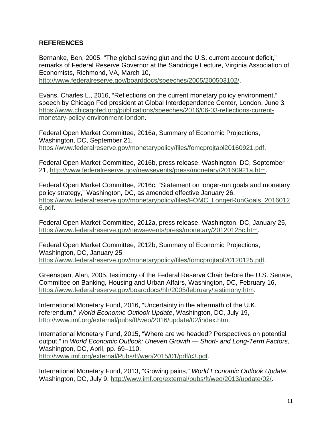### **REFERENCES**

Bernanke, Ben, 2005, "The global saving glut and the U.S. current account deficit," remarks of Federal Reserve Governor at the Sandridge Lecture, Virginia Association of Economists, Richmond, VA, March 10,

[http://www.federalreserve.gov/boarddocs/speeches/2005/200503102/.](http://www.federalreserve.gov/boarddocs/speeches/2005/200503102/)

Evans, Charles L., 2016, "Reflections on the current monetary policy environment," speech by Chicago Fed president at Global Interdependence Center, London, June 3, [https://www.chicagofed.org/publications/speeches/2016/06-03-reflections-current](https://www.chicagofed.org/publications/speeches/2016/06-03-reflections-current-monetary-policy-environment-london)[monetary-policy-environment-london.](https://www.chicagofed.org/publications/speeches/2016/06-03-reflections-current-monetary-policy-environment-london)

Federal Open Market Committee, 2016a, Summary of Economic Projections, Washington, DC, September 21, [https://www.federalreserve.gov/monetarypolicy/files/fomcprojtabl20160921.pdf.](https://www.federalreserve.gov/monetarypolicy/files/fomcprojtabl20160921.pdf)

Federal Open Market Committee, 2016b, press release, Washington, DC, September 21, [http://www.federalreserve.gov/newsevents/press/monetary/20160921a.htm.](http://www.federalreserve.gov/newsevents/press/monetary/20160921a.htm)

Federal Open Market Committee, 2016c, "Statement on longer-run goals and monetary policy strategy," Washington, DC, as amended effective January 26, [https://www.federalreserve.gov/monetarypolicy/files/FOMC\\_LongerRunGoals\\_2016012](https://www.federalreserve.gov/monetarypolicy/files/FOMC_LongerRunGoals_20160126.pdf) [6.pdf.](https://www.federalreserve.gov/monetarypolicy/files/FOMC_LongerRunGoals_20160126.pdf)

Federal Open Market Committee, 2012a, press release, Washington, DC, January 25, [https://www.federalreserve.gov/newsevents/press/monetary/20120125c.htm.](https://www.federalreserve.gov/newsevents/press/monetary/20120125c.htm)

Federal Open Market Committee, 2012b, Summary of Economic Projections, Washington, DC, January 25, [https://www.federalreserve.gov/monetarypolicy/files/fomcprojtabl20120125.pdf.](https://www.federalreserve.gov/monetarypolicy/files/fomcprojtabl20120125.pdf)

Greenspan, Alan, 2005, testimony of the Federal Reserve Chair before the U.S. Senate, Committee on Banking, Housing and Urban Affairs, Washington, DC, February 16, [https://www.federalreserve.gov/boarddocs/hh/2005/february/testimony.htm.](https://www.federalreserve.gov/boarddocs/hh/2005/february/testimony.htm)

International Monetary Fund, 2016, "Uncertainty in the aftermath of the U.K. referendum," *World Economic Outlook Update*, Washington, DC, July 19, [http://www.imf.org/external/pubs/ft/weo/2016/update/02/index.htm.](http://www.imf.org/external/pubs/ft/weo/2016/update/02/index.htm)

International Monetary Fund, 2015, "Where are we headed? Perspectives on potential output," in *World Economic Outlook: Uneven Growth — Short- and Long-Term Factors*, Washington, DC, April, pp. 69–110, [http://www.imf.org/external/Pubs/ft/weo/2015/01/pdf/c3.pdf.](http://www.imf.org/external/Pubs/ft/weo/2015/01/pdf/c3.pdf)

International Monetary Fund, 2013, "Growing pains," *World Economic Outlook Update*, Washington, DC, July 9, [http://www.imf.org/external/pubs/ft/weo/2013/update/02/.](http://www.imf.org/external/pubs/ft/weo/2013/update/02/)